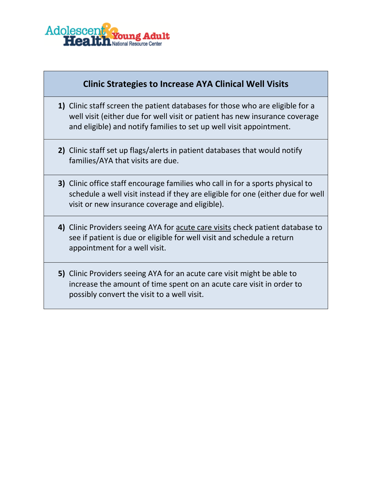

#### **Clinic Strategies to Increase AYA Clinical Well Visits**

- **1)** Clinic staff screen the patient databases for those who are eligible for a well visit (either due for well visit or patient has new insurance coverage and eligible) and notify families to set up well visit appointment.
- **2)** Clinic staff set up flags/alerts in patient databases that would notify families/AYA that visits are due.
- **3)** Clinic office staff encourage families who call in for a sports physical to schedule a well visit instead if they are eligible for one (either due for well visit or new insurance coverage and eligible).
- **4)** Clinic Providers seeing AYA for acute care visits check patient database to see if patient is due or eligible for well visit and schedule a return appointment for a well visit.
- **5)** Clinic Providers seeing AYA for an acute care visit might be able to increase the amount of time spent on an acute care visit in order to possibly convert the visit to a well visit.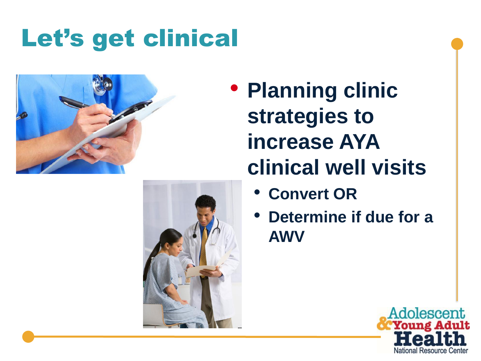# Let's get clinical



- **Planning clinic strategies to increase AYA clinical well visits**
	- **Convert OR**
	- **Determine if due for a AWV**



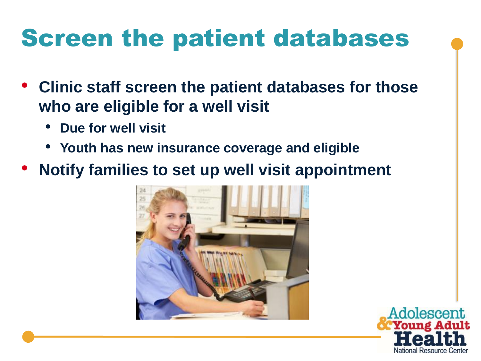## Screen the patient databases

- **Clinic staff screen the patient databases for those who are eligible for a well visit** 
	- **Due for well visit**
	- **Youth has new insurance coverage and eligible**
- **Notify families to set up well visit appointment**



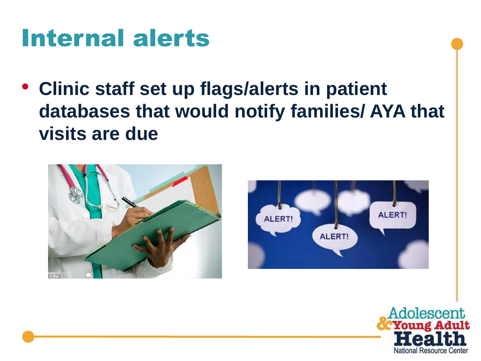### Internal alerts

• **Clinic staff set up flags/alerts in patient databases that would notify families/ AYA that visits are due**





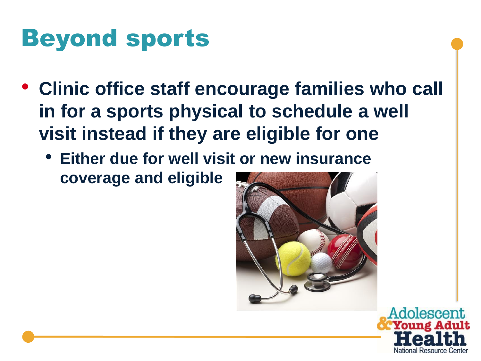## Beyond sports

- **Clinic office staff encourage families who call in for a sports physical to schedule a well visit instead if they are eligible for one** 
	- **Either due for well visit or new insurance coverage and eligible**



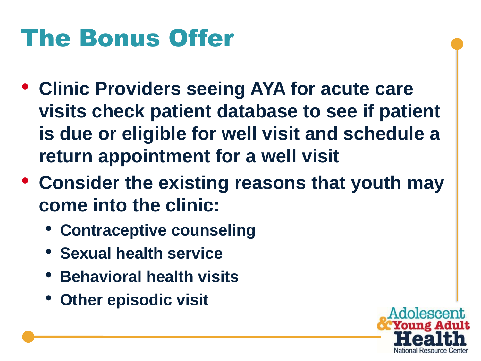## The Bonus Offer

- **Clinic Providers seeing AYA for acute care visits check patient database to see if patient is due or eligible for well visit and schedule a return appointment for a well visit**
- **Consider the existing reasons that youth may come into the clinic:**
	- **Contraceptive counseling**
	- **Sexual health service**
	- **Behavioral health visits**
	- **Other episodic visit**